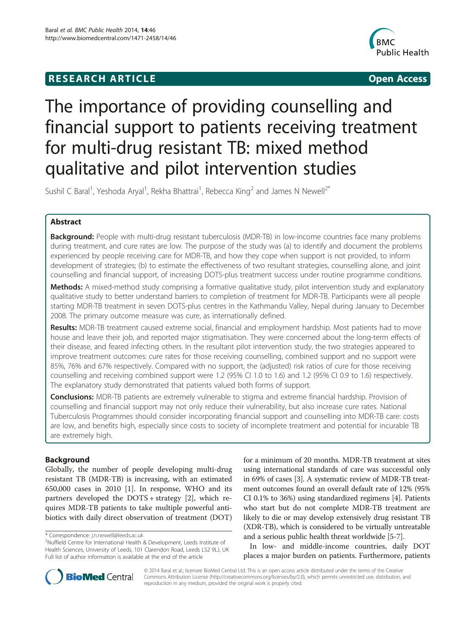## **RESEARCH ARTICLE Example 2014 12:30 The SEAR CHIPS 2014 12:30 The Open Access**



# The importance of providing counselling and financial support to patients receiving treatment for multi-drug resistant TB: mixed method qualitative and pilot intervention studies

Sushil C Baral<sup>1</sup>, Yeshoda Aryal<sup>1</sup>, Rekha Bhattrai<sup>1</sup>, Rebecca King<sup>2</sup> and James N Newell<sup>2\*</sup>

## Abstract

**Background:** People with multi-drug resistant tuberculosis (MDR-TB) in low-income countries face many problems during treatment, and cure rates are low. The purpose of the study was (a) to identify and document the problems experienced by people receiving care for MDR-TB, and how they cope when support is not provided, to inform development of strategies; (b) to estimate the effectiveness of two resultant strategies, counselling alone, and joint counselling and financial support, of increasing DOTS-plus treatment success under routine programme conditions.

Methods: A mixed-method study comprising a formative qualitative study, pilot intervention study and explanatory qualitative study to better understand barriers to completion of treatment for MDR-TB. Participants were all people starting MDR-TB treatment in seven DOTS-plus centres in the Kathmandu Valley, Nepal during January to December 2008. The primary outcome measure was cure, as internationally defined.

Results: MDR-TB treatment caused extreme social, financial and employment hardship. Most patients had to move house and leave their job, and reported major stigmatisation. They were concerned about the long-term effects of their disease, and feared infecting others. In the resultant pilot intervention study, the two strategies appeared to improve treatment outcomes: cure rates for those receiving counselling, combined support and no support were 85%, 76% and 67% respectively. Compared with no support, the (adjusted) risk ratios of cure for those receiving counselling and receiving combined support were 1.2 (95% CI 1.0 to 1.6) and 1.2 (95% CI 0.9 to 1.6) respectively. The explanatory study demonstrated that patients valued both forms of support.

**Conclusions:** MDR-TB patients are extremely vulnerable to stigma and extreme financial hardship. Provision of counselling and financial support may not only reduce their vulnerability, but also increase cure rates. National Tuberculosis Programmes should consider incorporating financial support and counselling into MDR-TB care: costs are low, and benefits high, especially since costs to society of incomplete treatment and potential for incurable TB are extremely high.

## Background

Globally, the number of people developing multi-drug resistant TB (MDR-TB) is increasing, with an estimated 650,000 cases in 2010 [\[1](#page-6-0)]. In response, WHO and its partners developed the DOTS + strategy [[2](#page-6-0)], which requires MDR-TB patients to take multiple powerful antibiotics with daily direct observation of treatment (DOT) for a minimum of 20 months. MDR-TB treatment at sites using international standards of care was successful only in 69% of cases [\[3](#page-6-0)]. A systematic review of MDR-TB treatment outcomes found an overall default rate of 12% (95% CI 0.1% to 36%) using standardized regimens [[4](#page-6-0)]. Patients who start but do not complete MDR-TB treatment are likely to die or may develop extensively drug resistant TB (XDR-TB), which is considered to be virtually untreatable and a serious public health threat worldwide [\[5-7](#page-6-0)].

In low- and middle-income countries, daily DOT places a major burden on patients. Furthermore, patients



© 2014 Baral et al.; licensee BioMed Central Ltd. This is an open access article distributed under the terms of the Creative Commons Attribution License [\(http://creativecommons.org/licenses/by/2.0\)](http://creativecommons.org/licenses/by/2.0), which permits unrestricted use, distribution, and reproduction in any medium, provided the original work is properly cited.

<sup>\*</sup> Correspondence: [j.n.newell@leeds.ac.uk](mailto:j.n.newell@leeds.ac.uk) <sup>2</sup>

<sup>&</sup>lt;sup>2</sup>Nuffield Centre for International Health & Development, Leeds Institute of Health Sciences, University of Leeds, 101 Clarendon Road, Leeds LS2 9LJ, UK Full list of author information is available at the end of the article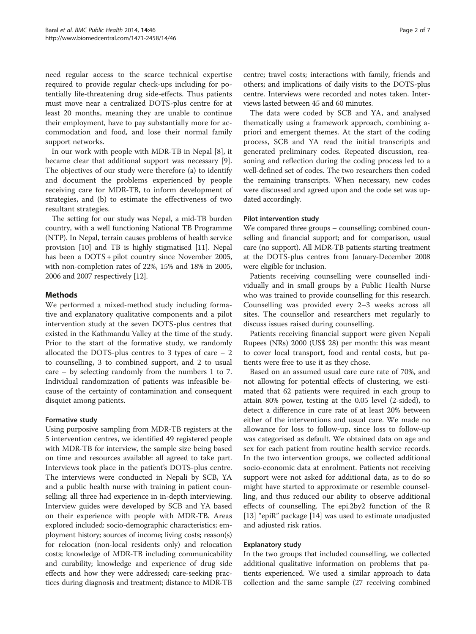need regular access to the scarce technical expertise required to provide regular check-ups including for potentially life-threatening drug side-effects. Thus patients must move near a centralized DOTS-plus centre for at least 20 months, meaning they are unable to continue their employment, have to pay substantially more for accommodation and food, and lose their normal family support networks.

In our work with people with MDR-TB in Nepal [[8](#page-6-0)], it became clear that additional support was necessary [\[9](#page-6-0)]. The objectives of our study were therefore (a) to identify and document the problems experienced by people receiving care for MDR-TB, to inform development of strategies, and (b) to estimate the effectiveness of two resultant strategies.

The setting for our study was Nepal, a mid-TB burden country, with a well functioning National TB Programme (NTP). In Nepal, terrain causes problems of health service provision [[10](#page-6-0)] and TB is highly stigmatised [\[11](#page-6-0)]. Nepal has been a DOTS + pilot country since November 2005, with non-completion rates of 22%, 15% and 18% in 2005, 2006 and 2007 respectively [\[12\]](#page-6-0).

## Methods

We performed a mixed-method study including formative and explanatory qualitative components and a pilot intervention study at the seven DOTS-plus centres that existed in the Kathmandu Valley at the time of the study. Prior to the start of the formative study, we randomly allocated the DOTS-plus centres to 3 types of care  $-2$ to counselling, 3 to combined support, and 2 to usual care – by selecting randomly from the numbers 1 to 7. Individual randomization of patients was infeasible because of the certainty of contamination and consequent disquiet among patients.

## Formative study

Using purposive sampling from MDR-TB registers at the 5 intervention centres, we identified 49 registered people with MDR-TB for interview, the sample size being based on time and resources available: all agreed to take part. Interviews took place in the patient's DOTS-plus centre. The interviews were conducted in Nepali by SCB, YA and a public health nurse with training in patient counselling: all three had experience in in-depth interviewing. Interview guides were developed by SCB and YA based on their experience with people with MDR-TB. Areas explored included: socio-demographic characteristics; employment history; sources of income; living costs; reason(s) for relocation (non-local residents only) and relocation costs; knowledge of MDR-TB including communicability and curability; knowledge and experience of drug side effects and how they were addressed; care-seeking practices during diagnosis and treatment; distance to MDR-TB

centre; travel costs; interactions with family, friends and others; and implications of daily visits to the DOTS-plus centre. Interviews were recorded and notes taken. Interviews lasted between 45 and 60 minutes.

The data were coded by SCB and YA, and analysed thematically using a framework approach, combining apriori and emergent themes. At the start of the coding process, SCB and YA read the initial transcripts and generated preliminary codes. Repeated discussion, reasoning and reflection during the coding process led to a well-defined set of codes. The two researchers then coded the remaining transcripts. When necessary, new codes were discussed and agreed upon and the code set was updated accordingly.

## Pilot intervention study

We compared three groups – counselling; combined counselling and financial support; and for comparison, usual care (no support). All MDR-TB patients starting treatment at the DOTS-plus centres from January-December 2008 were eligible for inclusion.

Patients receiving counselling were counselled individually and in small groups by a Public Health Nurse who was trained to provide counselling for this research. Counselling was provided every 2–3 weeks across all sites. The counsellor and researchers met regularly to discuss issues raised during counselling.

Patients receiving financial support were given Nepali Rupees (NRs) 2000 (US\$ 28) per month: this was meant to cover local transport, food and rental costs, but patients were free to use it as they chose.

Based on an assumed usual care cure rate of 70%, and not allowing for potential effects of clustering, we estimated that 62 patients were required in each group to attain 80% power, testing at the 0.05 level (2-sided), to detect a difference in cure rate of at least 20% between either of the interventions and usual care. We made no allowance for loss to follow-up, since loss to follow-up was categorised as default. We obtained data on age and sex for each patient from routine health service records. In the two intervention groups, we collected additional socio-economic data at enrolment. Patients not receiving support were not asked for additional data, as to do so might have started to approximate or resemble counselling, and thus reduced our ability to observe additional effects of counselling. The epi.2by2 function of the R [[13\]](#page-6-0) "epiR" package [\[14](#page-6-0)] was used to estimate unadjusted and adjusted risk ratios.

## Explanatory study

In the two groups that included counselling, we collected additional qualitative information on problems that patients experienced. We used a similar approach to data collection and the same sample (27 receiving combined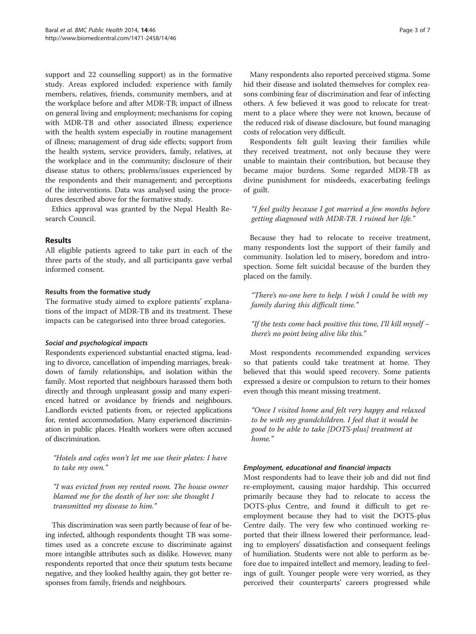support and 22 counselling support) as in the formative study. Areas explored included: experience with family members, relatives, friends, community members, and at the workplace before and after MDR-TB; impact of illness on general living and employment; mechanisms for coping with MDR-TB and other associated illness; experience with the health system especially in routine management of illness; management of drug side effects; support from the health system, service providers, family, relatives, at the workplace and in the community; disclosure of their disease status to others; problems/issues experienced by the respondents and their management; and perceptions of the interventions. Data was analysed using the procedures described above for the formative study.

Ethics approval was granted by the Nepal Health Research Council.

## Results

All eligible patients agreed to take part in each of the three parts of the study, and all participants gave verbal informed consent.

## Results from the formative study

The formative study aimed to explore patients' explanations of the impact of MDR-TB and its treatment. These impacts can be categorised into three broad categories.

## Social and psychological impacts

Respondents experienced substantial enacted stigma, leading to divorce, cancellation of impending marriages, breakdown of family relationships, and isolation within the family. Most reported that neighbours harassed them both directly and through unpleasant gossip and many experienced hatred or avoidance by friends and neighbours. Landlords evicted patients from, or rejected applications for, rented accommodation. Many experienced discrimination in public places. Health workers were often accused of discrimination.

"Hotels and cafes won't let me use their plates: I have to take my own."

"I was evicted from my rented room. The house owner blamed me for the death of her son: she thought I transmitted my disease to him."

This discrimination was seen partly because of fear of being infected, although respondents thought TB was sometimes used as a concrete excuse to discriminate against more intangible attributes such as dislike. However, many respondents reported that once their sputum tests became negative, and they looked healthy again, they got better responses from family, friends and neighbours.

Many respondents also reported perceived stigma. Some hid their disease and isolated themselves for complex reasons combining fear of discrimination and fear of infecting others. A few believed it was good to relocate for treatment to a place where they were not known, because of the reduced risk of disease disclosure, but found managing costs of relocation very difficult.

Respondents felt guilt leaving their families while they received treatment, not only because they were unable to maintain their contribution, but because they became major burdens. Some regarded MDR-TB as divine punishment for misdeeds, exacerbating feelings of guilt.

"I feel guilty because I got married a few months before getting diagnosed with MDR-TB. I ruined her life."

Because they had to relocate to receive treatment, many respondents lost the support of their family and community. Isolation led to misery, boredom and introspection. Some felt suicidal because of the burden they placed on the family.

"There's no-one here to help. I wish I could be with my family during this difficult time."

"If the tests come back positive this time, I'll kill myself – there's no point being alive like this."

Most respondents recommended expanding services so that patients could take treatment at home. They believed that this would speed recovery. Some patients expressed a desire or compulsion to return to their homes even though this meant missing treatment.

"Once I visited home and felt very happy and relaxed to be with my grandchildren. I feel that it would be good to be able to take [DOTS-plus] treatment at home."

## Employment, educational and financial impacts

Most respondents had to leave their job and did not find re-employment, causing major hardship. This occurred primarily because they had to relocate to access the DOTS-plus Centre, and found it difficult to get reemployment because they had to visit the DOTS-plus Centre daily. The very few who continued working reported that their illness lowered their performance, leading to employers' dissatisfaction and consequent feelings of humiliation. Students were not able to perform as before due to impaired intellect and memory, leading to feelings of guilt. Younger people were very worried, as they perceived their counterparts' careers progressed while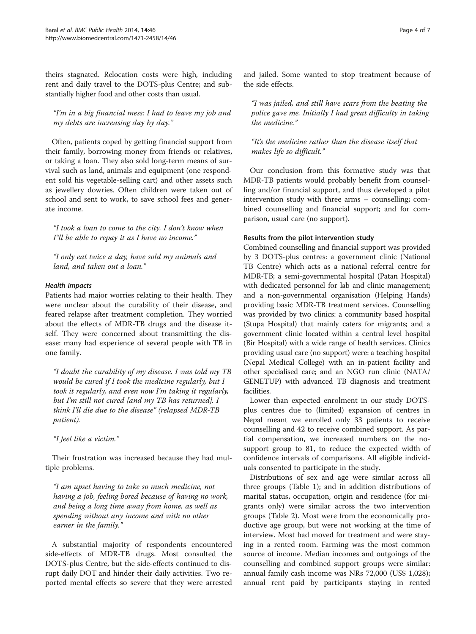theirs stagnated. Relocation costs were high, including rent and daily travel to the DOTS-plus Centre; and substantially higher food and other costs than usual.

"I'm in a big financial mess: I had to leave my job and my debts are increasing day by day."

Often, patients coped by getting financial support from their family, borrowing money from friends or relatives, or taking a loan. They also sold long-term means of survival such as land, animals and equipment (one respondent sold his vegetable-selling cart) and other assets such as jewellery dowries. Often children were taken out of school and sent to work, to save school fees and generate income.

"I took a loan to come to the city. I don't know when I"ll be able to repay it as I have no income."

"I only eat twice a day, have sold my animals and land, and taken out a loan."

## Health impacts

Patients had major worries relating to their health. They were unclear about the curability of their disease, and feared relapse after treatment completion. They worried about the effects of MDR-TB drugs and the disease itself. They were concerned about transmitting the disease: many had experience of several people with TB in one family.

"I doubt the curability of my disease. I was told my TB would be cured if I took the medicine regularly, but I took it regularly, and even now I'm taking it regularly, but I'm still not cured [and my TB has returned]. I think I'll die due to the disease" (relapsed MDR-TB patient).

"I feel like a victim."

Their frustration was increased because they had multiple problems.

"I am upset having to take so much medicine, not having a job, feeling bored because of having no work, and being a long time away from home, as well as spending without any income and with no other earner in the family."

A substantial majority of respondents encountered side-effects of MDR-TB drugs. Most consulted the DOTS-plus Centre, but the side-effects continued to disrupt daily DOT and hinder their daily activities. Two reported mental effects so severe that they were arrested and jailed. Some wanted to stop treatment because of the side effects.

"I was jailed, and still have scars from the beating the police gave me. Initially I had great difficulty in taking the medicine."

"It's the medicine rather than the disease itself that makes life so difficult."

Our conclusion from this formative study was that MDR-TB patients would probably benefit from counselling and/or financial support, and thus developed a pilot intervention study with three arms – counselling; combined counselling and financial support; and for comparison, usual care (no support).

## Results from the pilot intervention study

Combined counselling and financial support was provided by 3 DOTS-plus centres: a government clinic (National TB Centre) which acts as a national referral centre for MDR-TB; a semi-governmental hospital (Patan Hospital) with dedicated personnel for lab and clinic management; and a non-governmental organisation (Helping Hands) providing basic MDR-TB treatment services. Counselling was provided by two clinics: a community based hospital (Stupa Hospital) that mainly caters for migrants; and a government clinic located within a central level hospital (Bir Hospital) with a wide range of health services. Clinics providing usual care (no support) were: a teaching hospital (Nepal Medical College) with an in-patient facility and other specialised care; and an NGO run clinic (NATA/ GENETUP) with advanced TB diagnosis and treatment facilities.

Lower than expected enrolment in our study DOTSplus centres due to (limited) expansion of centres in Nepal meant we enrolled only 33 patients to receive counselling and 42 to receive combined support. As partial compensation, we increased numbers on the nosupport group to 81, to reduce the expected width of confidence intervals of comparisons. All eligible individuals consented to participate in the study.

Distributions of sex and age were similar across all three groups (Table [1](#page-4-0)); and in addition distributions of marital status, occupation, origin and residence (for migrants only) were similar across the two intervention groups (Table [2](#page-4-0)). Most were from the economically productive age group, but were not working at the time of interview. Most had moved for treatment and were staying in a rented room. Farming was the most common source of income. Median incomes and outgoings of the counselling and combined support groups were similar: annual family cash income was NRs 72,000 (US\$ 1,028); annual rent paid by participants staying in rented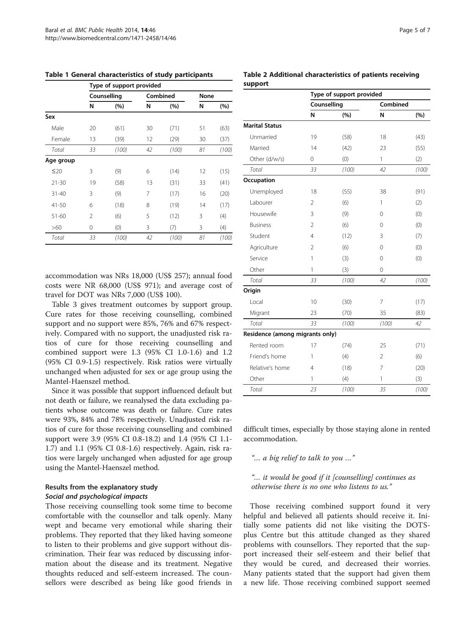|           | Type of support provided |       |          |       |      |       |
|-----------|--------------------------|-------|----------|-------|------|-------|
|           | Counselling              |       | Combined |       | None |       |
|           | N                        | (%)   | N        | (%)   | N    | (%)   |
| Sex       |                          |       |          |       |      |       |
| Male      | 20                       | (61)  | 30       | (71)  | 51   | (63)  |
| Female    | 13                       | (39)  | 12       | (29)  | 30   | (37)  |
| Total     | 33                       | (100) | 42       | (100) | 81   | (100) |
| Age group |                          |       |          |       |      |       |
| $\leq 20$ | 3                        | (9)   | 6        | (14)  | 12   | (15)  |
| $21 - 30$ | 19                       | (58)  | 13       | (31)  | 33   | (41)  |
| $31 - 40$ | 3                        | (9)   | 7        | (17)  | 16   | (20)  |
| $41 - 50$ | 6                        | (18)  | 8        | (19)  | 14   | (17)  |
| 51-60     | 2                        | (6)   | 5        | (12)  | 3    | (4)   |
| >60       | 0                        | (0)   | 3        | (7)   | 3    | (4)   |
| Total     | 33                       | (100) | 42       | (100) | 81   | (100) |

<span id="page-4-0"></span>Table 1 General characteristics of study participants

accommodation was NRs 18,000 (US\$ 257); annual food costs were NR 68,000 (US\$ 971); and average cost of travel for DOT was NRs 7,000 (US\$ 100).

Table [3](#page-5-0) gives treatment outcomes by support group. Cure rates for those receiving counselling, combined support and no support were 85%, 76% and 67% respectively. Compared with no support, the unadjusted risk ratios of cure for those receiving counselling and combined support were 1.3 (95% CI 1.0-1.6) and 1.2 (95% CI 0.9-1.5) respectively. Risk ratios were virtually unchanged when adjusted for sex or age group using the Mantel-Haenszel method.

Since it was possible that support influenced default but not death or failure, we reanalysed the data excluding patients whose outcome was death or failure. Cure rates were 93%, 84% and 78% respectively. Unadjusted risk ratios of cure for those receiving counselling and combined support were 3.9 (95% CI 0.8-18.2) and 1.4 (95% CI 1.1- 1.7) and 1.1 (95% CI 0.8-1.6) respectively. Again, risk ratios were largely unchanged when adjusted for age group using the Mantel-Haenszel method.

## Results from the explanatory study Social and psychological impacts

Those receiving counselling took some time to become comfortable with the counsellor and talk openly. Many wept and became very emotional while sharing their problems. They reported that they liked having someone to listen to their problems and give support without discrimination. Their fear was reduced by discussing information about the disease and its treatment. Negative thoughts reduced and self-esteem increased. The counsellors were described as being like good friends in

## Table 2 Additional characteristics of patients receiving support

|                                 | Type of support provided |       |                |       |
|---------------------------------|--------------------------|-------|----------------|-------|
|                                 | Counselling              |       | Combined       |       |
|                                 | N                        | (%)   | N              | (%)   |
| <b>Marital Status</b>           |                          |       |                |       |
| Unmarried                       | 19                       | (58)  | 18             | (43)  |
| Married                         | 14                       | (42)  | 23             | (55)  |
| Other (d/w/s)                   | 0                        | (0)   | 1              | (2)   |
| Total                           | 33                       | (100) | 42             | (100) |
| Occupation                      |                          |       |                |       |
| Unemployed                      | 18                       | (55)  | 38             | (91)  |
| Labourer                        | $\overline{2}$           | (6)   | 1              | (2)   |
| Housewife                       | 3                        | (9)   | 0              | (0)   |
| <b>Business</b>                 | $\overline{2}$           | (6)   | 0              | (0)   |
| Student                         | $\overline{4}$           | (12)  | 3              | (7)   |
| Agriculture                     | $\overline{2}$           | (6)   | 0              | (0)   |
| Service                         | 1                        | (3)   | 0              | (0)   |
| Other                           | $\mathbf{1}$             | (3)   | 0              |       |
| Total                           | 33                       | (100) | 42             | (100) |
| Origin                          |                          |       |                |       |
| Local                           | 10                       | (30)  | 7              | (17)  |
| Migrant                         | 23                       | (70)  | 35             | (83)  |
| Total                           | 33                       | (100) | (100)          | 42    |
| Residence (among migrants only) |                          |       |                |       |
| Rented room                     | 17                       | (74)  | 25             | (71)  |
| Friend's home                   | 1                        | (4)   | $\overline{2}$ | (6)   |
| Relative's home                 | 4                        | (18)  | 7              | (20)  |
| Other                           | 1                        | (4)   | 1              | (3)   |
| Total                           | 23                       | (100) | 35             | (100) |

difficult times, especially by those staying alone in rented accommodation.

"… a big relief to talk to you …"

"… it would be good if it [counselling] continues as otherwise there is no one who listens to us."

Those receiving combined support found it very helpful and believed all patients should receive it. Initially some patients did not like visiting the DOTSplus Centre but this attitude changed as they shared problems with counsellors. They reported that the support increased their self-esteem and their belief that they would be cured, and decreased their worries. Many patients stated that the support had given them a new life. Those receiving combined support seemed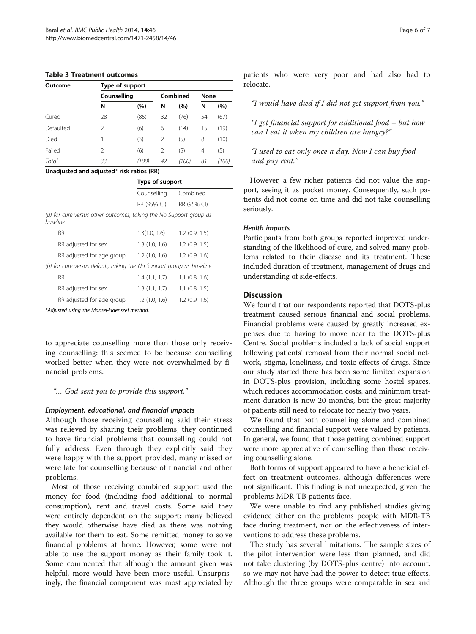#### <span id="page-5-0"></span>Table 3 Treatment outcomes

| Outcome                                   | Type of support |       |               |       |      |       |  |
|-------------------------------------------|-----------------|-------|---------------|-------|------|-------|--|
|                                           | Counselling     |       | Combined      |       | None |       |  |
|                                           | N               | (%)   | N             | (%)   | N    | (%)   |  |
| Cured                                     | 28              | (85)  | 32            | (76)  | 54   | (67)  |  |
| Defaulted                                 | 2               | (6)   | 6             | (14)  | 15   | (19)  |  |
| Died                                      |                 | (3)   | $\mathcal{P}$ | (5)   | 8    | (10)  |  |
| Failed                                    | $\mathfrak{D}$  | (6)   | 2             | (5)   | 4    | (5)   |  |
| Total                                     | 33              | (100) | 42            | (100) | 81   | (100) |  |
| Unadjusted and adjusted* risk ratios (RR) |                 |       |               |       |      |       |  |

|                                                                                | Type of support |                         |  |  |
|--------------------------------------------------------------------------------|-----------------|-------------------------|--|--|
|                                                                                | Counselling     | Combined<br>RR (95% CI) |  |  |
|                                                                                | RR (95% CI)     |                         |  |  |
| (a) for cure versus other outcomes, taking the No Support group as<br>baseline |                 |                         |  |  |
| <b>RR</b>                                                                      | 1.3(1.0, 1.6)   | $1.2$ (0.9, 1.5)        |  |  |
| RR adjusted for sex                                                            | 1.3(1.0, 1.6)   | 1.2(0.9.1.5)            |  |  |
| RR adjusted for age group                                                      | 1.2(1.0, 1.6)   | $1.2$ (0.9, 1.6)        |  |  |
| (b) for cure versus default, taking the No Support group as baseline           |                 |                         |  |  |
| <b>RR</b>                                                                      | 1.4(1.1, 1.7)   | $1.1$ (0.8, 1.6)        |  |  |
| RR adjusted for sex                                                            | 1.3(1.1, 1.7)   | $1.1$ (0.8, 1.5)        |  |  |
| RR adjusted for age group                                                      | 1.2(1.0, 1.6)   | 1.2(0.9, 1.6)           |  |  |

\*Adjusted using the Mantel-Haenszel method.

to appreciate counselling more than those only receiving counselling: this seemed to be because counselling worked better when they were not overwhelmed by financial problems.

## "… God sent you to provide this support."

## Employment, educational, and financial impacts

Although those receiving counselling said their stress was relieved by sharing their problems, they continued to have financial problems that counselling could not fully address. Even through they explicitly said they were happy with the support provided, many missed or were late for counselling because of financial and other problems.

Most of those receiving combined support used the money for food (including food additional to normal consumption), rent and travel costs. Some said they were entirely dependent on the support: many believed they would otherwise have died as there was nothing available for them to eat. Some remitted money to solve financial problems at home. However, some were not able to use the support money as their family took it. Some commented that although the amount given was helpful, more would have been more useful. Unsurprisingly, the financial component was most appreciated by patients who were very poor and had also had to relocate.

"I would have died if I did not get support from you."

"I get financial support for additional food – but how can I eat it when my children are hungry?"

"I used to eat only once a day. Now I can buy food and pay rent."

However, a few richer patients did not value the support, seeing it as pocket money. Consequently, such patients did not come on time and did not take counselling seriously.

## Health impacts

Participants from both groups reported improved understanding of the likelihood of cure, and solved many problems related to their disease and its treatment. These included duration of treatment, management of drugs and understanding of side-effects.

## **Discussion**

We found that our respondents reported that DOTS-plus treatment caused serious financial and social problems. Financial problems were caused by greatly increased expenses due to having to move near to the DOTS-plus Centre. Social problems included a lack of social support following patients' removal from their normal social network, stigma, loneliness, and toxic effects of drugs. Since our study started there has been some limited expansion in DOTS-plus provision, including some hostel spaces, which reduces accommodation costs, and minimum treatment duration is now 20 months, but the great majority of patients still need to relocate for nearly two years.

We found that both counselling alone and combined counselling and financial support were valued by patients. In general, we found that those getting combined support were more appreciative of counselling than those receiving counselling alone.

Both forms of support appeared to have a beneficial effect on treatment outcomes, although differences were not significant. This finding is not unexpected, given the problems MDR-TB patients face.

We were unable to find any published studies giving evidence either on the problems people with MDR-TB face during treatment, nor on the effectiveness of interventions to address these problems.

The study has several limitations. The sample sizes of the pilot intervention were less than planned, and did not take clustering (by DOTS-plus centre) into account, so we may not have had the power to detect true effects. Although the three groups were comparable in sex and